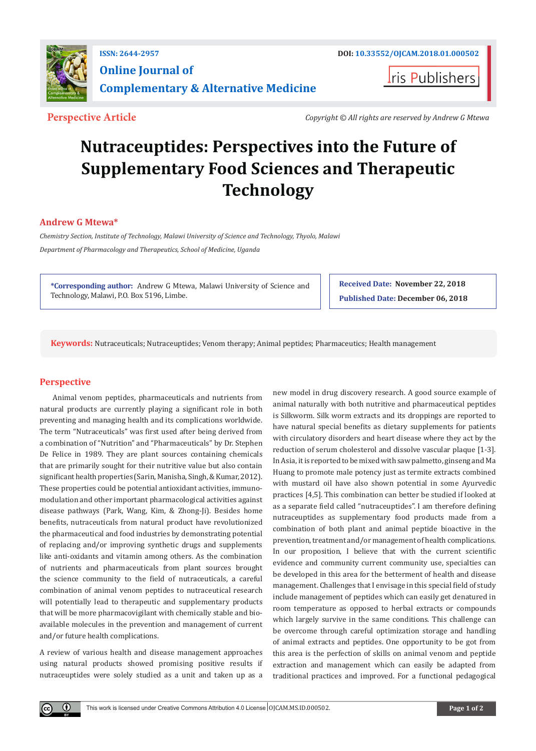

**I**ris Publishers

**Perspective Article** *Copyright © All rights are reserved by Andrew G Mtewa*

# **Nutraceuptides: Perspectives into the Future of Supplementary Food Sciences and Therapeutic Technology**

## **Andrew G Mtewa\***

*Chemistry Section, Institute of Technology, Malawi University of Science and Technology, Thyolo, Malawi Department of Pharmacology and Therapeutics, School of Medicine, Uganda*

**\*Corresponding author:** Andrew G Mtewa, Malawi University of Science and Technology, Malawi, P.O. Box 5196, Limbe.

**Received Date: November 22, 2018 Published Date: December 06, 2018**

**Keywords:** Nutraceuticals; Nutraceuptides; Venom therapy; Animal peptides; Pharmaceutics; Health management

### **Perspective**

 $\bf \Theta$ 

Animal venom peptides, pharmaceuticals and nutrients from natural products are currently playing a significant role in both preventing and managing health and its complications worldwide. The term "Nutraceuticals" was first used after being derived from a combination of "Nutrition" and "Pharmaceuticals" by Dr. Stephen De Felice in 1989. They are plant sources containing chemicals that are primarily sought for their nutritive value but also contain significant health properties (Sarin, Manisha, Singh, & Kumar, 2012). These properties could be potential antioxidant activities, immunomodulation and other important pharmacological activities against disease pathways (Park, Wang, Kim, & Zhong-Ji). Besides home benefits, nutraceuticals from natural product have revolutionized the pharmaceutical and food industries by demonstrating potential of replacing and/or improving synthetic drugs and supplements like anti-oxidants and vitamin among others. As the combination of nutrients and pharmaceuticals from plant sources brought the science community to the field of nutraceuticals, a careful combination of animal venom peptides to nutraceutical research will potentially lead to therapeutic and supplementary products that will be more pharmacovigilant with chemically stable and bioavailable molecules in the prevention and management of current and/or future health complications.

A review of various health and disease management approaches using natural products showed promising positive results if nutraceuptides were solely studied as a unit and taken up as a

new model in drug discovery research. A good source example of animal naturally with both nutritive and pharmaceutical peptides is Silkworm. Silk worm extracts and its droppings are reported to have natural special benefits as dietary supplements for patients with circulatory disorders and heart disease where they act by the reduction of serum cholesterol and dissolve vascular plaque [1-3]. In Asia, it is reported to be mixed with saw palmetto, ginseng and Ma Huang to promote male potency just as termite extracts combined with mustard oil have also shown potential in some Ayurvedic practices [4,5]. This combination can better be studied if looked at as a separate field called "nutraceuptides". I am therefore defining nutraceuptides as supplementary food products made from a combination of both plant and animal peptide bioactive in the prevention, treatment and/or management of health complications. In our proposition, I believe that with the current scientific evidence and community current community use, specialties can be developed in this area for the betterment of health and disease management. Challenges that I envisage in this special field of study include management of peptides which can easily get denatured in room temperature as opposed to herbal extracts or compounds which largely survive in the same conditions. This challenge can be overcome through careful optimization storage and handling of animal extracts and peptides. One opportunity to be got from this area is the perfection of skills on animal venom and peptide extraction and management which can easily be adapted from traditional practices and improved. For a functional pedagogical